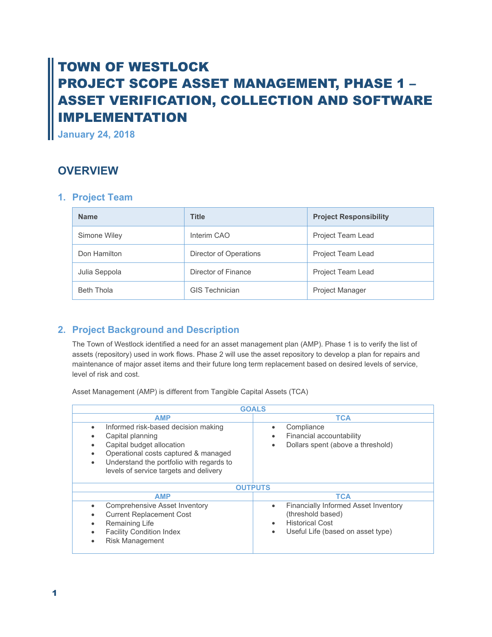# TOWN OF WESTLOCK PROJECT SCOPE ASSET MANAGEMENT, PHASE 1 – ASSET VERIFICATION, COLLECTION AND SOFTWARE IMPLEMENTATION

**January 24, 2018**

## **OVERVIEW**

### **1. Project Team**

| <b>Name</b>       | <b>Title</b>           | <b>Project Responsibility</b> |  |
|-------------------|------------------------|-------------------------------|--|
| Simone Wiley      | Interim CAO            | Project Team Lead             |  |
| Don Hamilton      | Director of Operations | Project Team Lead             |  |
| Julia Seppola     | Director of Finance    | Project Team Lead             |  |
| <b>Beth Thola</b> | <b>GIS Technician</b>  | <b>Project Manager</b>        |  |

#### **2. Project Background and Description**

The Town of Westlock identified a need for an asset management plan (AMP). Phase 1 is to verify the list of assets (repository) used in work flows. Phase 2 will use the asset repository to develop a plan for repairs and maintenance of major asset items and their future long term replacement based on desired levels of service, level of risk and cost.

Asset Management (AMP) is different from Tangible Capital Assets (TCA)

| <b>GOALS</b>                                                                                                                                                                                                            |                                                                                                                                                                        |  |  |  |
|-------------------------------------------------------------------------------------------------------------------------------------------------------------------------------------------------------------------------|------------------------------------------------------------------------------------------------------------------------------------------------------------------------|--|--|--|
| <b>AMP</b>                                                                                                                                                                                                              | <b>TCA</b>                                                                                                                                                             |  |  |  |
| Informed risk-based decision making<br>٠<br>Capital planning<br>Capital budget allocation<br>Operational costs captured & managed<br>Understand the portfolio with regards to<br>levels of service targets and delivery | Compliance<br>$\bullet$<br>Financial accountability<br>$\bullet$<br>Dollars spent (above a threshold)                                                                  |  |  |  |
| <b>OUTPUTS</b>                                                                                                                                                                                                          |                                                                                                                                                                        |  |  |  |
| <b>AMP</b>                                                                                                                                                                                                              | <b>TCA</b>                                                                                                                                                             |  |  |  |
| <b>Comprehensive Asset Inventory</b><br><b>Current Replacement Cost</b><br>Remaining Life<br><b>Facility Condition Index</b><br><b>Risk Management</b>                                                                  | <b>Financially Informed Asset Inventory</b><br>$\bullet$<br>(threshold based)<br><b>Historical Cost</b><br>$\bullet$<br>Useful Life (based on asset type)<br>$\bullet$ |  |  |  |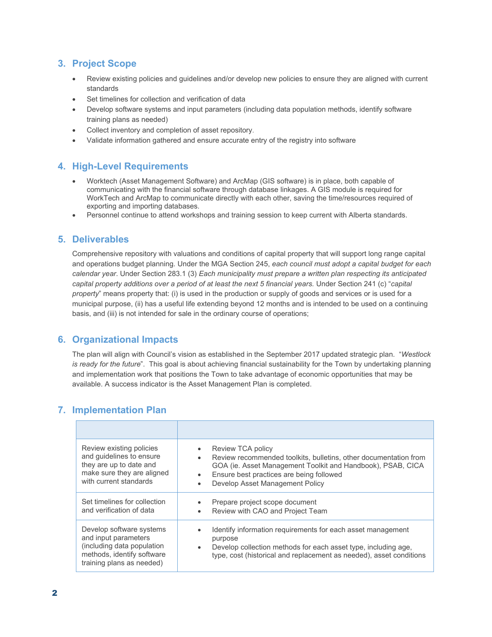#### **3. Project Scope**

- Review existing policies and guidelines and/or develop new policies to ensure they are aligned with current standards
- Set timelines for collection and verification of data
- Develop software systems and input parameters (including data population methods, identify software training plans as needed)
- Collect inventory and completion of asset repository.
- Validate information gathered and ensure accurate entry of the registry into software

#### **4. High-Level Requirements**

- Worktech (Asset Management Software) and ArcMap (GIS software) is in place, both capable of communicating with the financial software through database linkages. A GIS module is required for WorkTech and ArcMap to communicate directly with each other, saving the time/resources required of exporting and importing databases.
- Personnel continue to attend workshops and training session to keep current with Alberta standards.

#### **5. Deliverables**

Comprehensive repository with valuations and conditions of capital property that will support long range capital and operations budget planning. Under the MGA Section 245, *each council must adopt a capital budget for each calendar year*. Under Section 283.1 (3) *Each municipality must prepare a written plan respecting its anticipated capital property additions over a period of at least the next 5 financial years.* Under Section 241 (c) "*capital property*" means property that: (i) is used in the production or supply of goods and services or is used for a municipal purpose, (ii) has a useful life extending beyond 12 months and is intended to be used on a continuing basis, and (iii) is not intended for sale in the ordinary course of operations;

#### **6. Organizational Impacts**

The plan will align with Council's vision as established in the September 2017 updated strategic plan. "*Westlock is ready for the future*". This goal is about achieving financial sustainability for the Town by undertaking planning and implementation work that positions the Town to take advantage of economic opportunities that may be available. A success indicator is the Asset Management Plan is completed.

#### **7. Implementation Plan**

| Review existing policies<br>and quidelines to ensure<br>they are up to date and<br>make sure they are aligned<br>with current standards | Review TCA policy<br>Review recommended toolkits, bulletins, other documentation from<br>$\bullet$<br>GOA (ie. Asset Management Toolkit and Handbook), PSAB, CICA<br>Ensure best practices are being followed<br>$\bullet$<br>Develop Asset Management Policy |
|-----------------------------------------------------------------------------------------------------------------------------------------|---------------------------------------------------------------------------------------------------------------------------------------------------------------------------------------------------------------------------------------------------------------|
| Set timelines for collection                                                                                                            | Prepare project scope document                                                                                                                                                                                                                                |
| and verification of data                                                                                                                | Review with CAO and Project Team                                                                                                                                                                                                                              |
| Develop software systems                                                                                                                | Identify information requirements for each asset management                                                                                                                                                                                                   |
| and input parameters                                                                                                                    | purpose                                                                                                                                                                                                                                                       |
| (including data population                                                                                                              | Develop collection methods for each asset type, including age,                                                                                                                                                                                                |
| methods, identify software                                                                                                              | $\bullet$                                                                                                                                                                                                                                                     |
| training plans as needed)                                                                                                               | type, cost (historical and replacement as needed), asset conditions                                                                                                                                                                                           |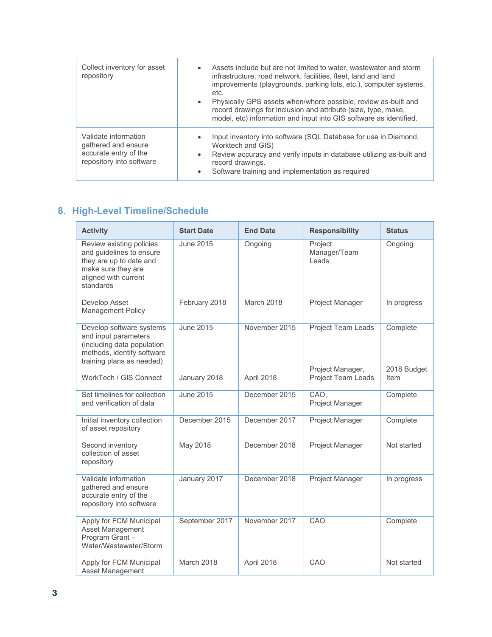| Collect inventory for asset<br>repository                                                        | Assets include but are not limited to water, wastewater and storm<br>$\bullet$<br>infrastructure, road network, facilities, fleet, land and land<br>improvements (playgrounds, parking lots, etc.), computer systems,<br>etc.<br>Physically GPS assets when/where possible, review as-built and<br>$\bullet$<br>record drawings for inclusion and attribute (size, type, make,<br>model, etc) information and input into GIS software as identified. |
|--------------------------------------------------------------------------------------------------|------------------------------------------------------------------------------------------------------------------------------------------------------------------------------------------------------------------------------------------------------------------------------------------------------------------------------------------------------------------------------------------------------------------------------------------------------|
| Validate information<br>gathered and ensure<br>accurate entry of the<br>repository into software | Input inventory into software (SQL Database for use in Diamond,<br>Worktech and GIS)<br>Review accuracy and verify inputs in database utilizing as-built and<br>$\bullet$<br>record drawings.<br>Software training and implementation as required<br>$\bullet$                                                                                                                                                                                       |

## **8. High-Level Timeline/Schedule**

| <b>Activity</b>                                                                                                                            | <b>Start Date</b> | <b>End Date</b> | <b>Responsibility</b>                  | <b>Status</b>           |
|--------------------------------------------------------------------------------------------------------------------------------------------|-------------------|-----------------|----------------------------------------|-------------------------|
| Review existing policies<br>and guidelines to ensure<br>they are up to date and<br>make sure they are<br>aligned with current<br>standards | <b>June 2015</b>  | Ongoing         | Project<br>Manager/Team<br>Leads       | Ongoing                 |
| Develop Asset<br><b>Management Policy</b>                                                                                                  | February 2018     | March 2018      | Project Manager                        | In progress             |
| Develop software systems<br>and input parameters<br>(including data population<br>methods, identify software<br>training plans as needed)  | <b>June 2015</b>  | November 2015   | Project Team Leads<br>Project Manager, | Complete<br>2018 Budget |
| WorkTech / GIS Connect                                                                                                                     | January 2018      | April 2018      | <b>Project Team Leads</b>              | Item                    |
| Set timelines for collection<br>and verification of data                                                                                   | <b>June 2015</b>  | December 2015   | CAO.<br>Project Manager                | Complete                |
| Initial inventory collection<br>of asset repository                                                                                        | December 2015     | December 2017   | Project Manager                        | Complete                |
| Second inventory<br>collection of asset<br>repository                                                                                      | May 2018          | December 2018   | Project Manager                        | Not started             |
| Validate information<br>gathered and ensure<br>accurate entry of the<br>repository into software                                           | January 2017      | December 2018   | Project Manager                        | In progress             |
| Apply for FCM Municipal<br>Asset Management<br>Program Grant-<br>Water/Wastewater/Storm                                                    | September 2017    | November 2017   | CAO                                    | Complete                |
| Apply for FCM Municipal<br>Asset Management                                                                                                | March 2018        | April 2018      | CAO                                    | Not started             |